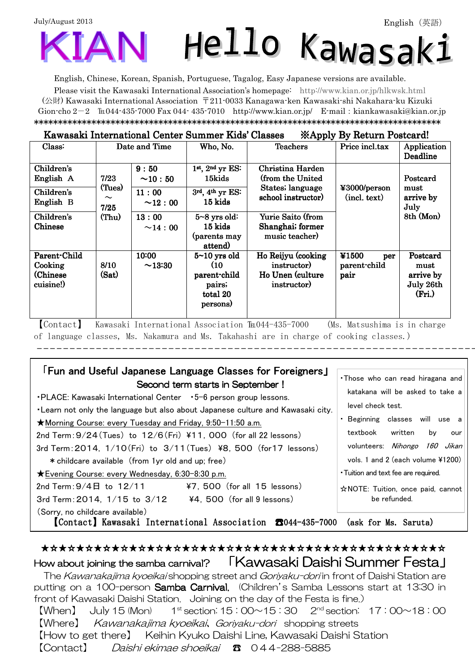# July/August 2013 Hello Kawasak:

English, Chinese, Korean, Spanish, Portuguese, Tagalog, Easy Japanese versions are available.

Please visit the Kawasaki International Association's homepage: [http://www.kian.or.jp/hlkwsk.html](http://www.kian.or.jp/hlkwsk.shtml) (公財) Kawasaki International Association 〒211-0033 Kanagawa-ken Kawasaki-shi Nakahara-ku Kizuki Gion-cho  $2-2$  Eu044-435-7000 Fax 044-435-7010 <http://www.kian.or.jp/>E-mail: [kiankawasaki@kian.or.jp](mailto:kiankawasaki@kian.or.jp) \*\*\*\*\*\*\*\*\*\*\*\*\*\*\*\*\*\*\*\*\*\*\*\*\*\*\*\*\*\*\*\*\*\*\*\*\*\*\*\*\*\*\*\*\*\*\*\*\*\*\*\*\*\*\*\*\*\*\*\*\*\*\*\*\*\*\*\*\*\*\*\*\*\*\*\*\*\*\*\*\*\*\*\*\*

#### Kawasaki International Center Summer Kids' Classes ※Apply By Return Postcard!

| Class:                                            |                                             | Date and Time           | Who, No.                                                                   | . .<br><b>Teachers</b>                                               | Price incl.tax                       | Application<br>Deadline                              |
|---------------------------------------------------|---------------------------------------------|-------------------------|----------------------------------------------------------------------------|----------------------------------------------------------------------|--------------------------------------|------------------------------------------------------|
| Children's<br>English A                           | 7/23                                        | 9:50<br>$\sim$ 10 : 50  | $1st$ , $2nd$ yr ES:<br>15kids                                             | Christina Harden<br>(from the United                                 |                                      | Postcard                                             |
| Children's<br>English B                           | (Tues)<br>$\widetilde{\phantom{m}}$<br>7/25 | 11:00<br>$\sim$ 12 : 00 | States; language<br>3rd, 4th yr ES:<br>school instructor)<br>15 kids       |                                                                      | ¥3000/person<br>(intext)             | must<br>arrive by<br>July                            |
| Children's<br>Chinese                             | (Thu)                                       | 13:00<br>~14:00         | $5 - 8$ yrs old:<br>$15$ kids<br>(parents may<br>attend)                   | Yurie Saito (from<br>Shanghai; former<br>music teacher)              |                                      | 8th (Mon)                                            |
| Parent-Child<br>Cooking<br>(Chinese)<br>cuisine!) | 8/10<br>(Sat)                               | 10:00<br>~13:30         | $5 - 10$ yrs old<br>(10)<br>parent-child<br>pairs;<br>total 20<br>persons) | Ho Reijyu (cooking<br>instructor)<br>Ho Unen (culture<br>instructor) | ¥1500<br>per<br>parent-child<br>pair | Postcard<br>must<br>arrive by<br>July 26th<br>(Fri.) |

【Contact】 Kawasaki International Association ℡044-435-7000 (Ms. Matsushima is in charge of language classes, Ms. Nakamura and Ms. Takahashi are in charge of cooking classes.)

Ì,

Ϊ

| •PLACE: Kawasaki International Center • 5-6 person group lessons.<br>★Morning Course: every Tuesday and Friday, 9:50-11:50 a.m.<br>2nd Term: $9/24$ (Tues) to $12/6$ (Fri) ¥11, 000 (for all 22 lessons)<br>3rd Term: 2014, 1/10(Fri) to 3/11(Tues) ¥8, 500 (for 17 lessons)<br>* childcare available (from 1yr old and up; free) | <b>Fun and Useful Japanese Language Classes for Foreigners」</b><br>Second term starts in September!<br>. Learn not only the language but also about Japanese culture and Kawasaki city. | . Those who can read hiragana and<br>katakana will be asked to take a<br>level check test.<br>Beginning classes will use a<br>textbook<br>written<br>bv<br>our<br>volunteers: <i>Nihongo 160 Jikan</i><br>vols. 1 and 2 (each volume $41200$ ) |  |  |  |  |
|-----------------------------------------------------------------------------------------------------------------------------------------------------------------------------------------------------------------------------------------------------------------------------------------------------------------------------------|-----------------------------------------------------------------------------------------------------------------------------------------------------------------------------------------|------------------------------------------------------------------------------------------------------------------------------------------------------------------------------------------------------------------------------------------------|--|--|--|--|
| ★ Evening Course: every Wednesday, 6:30-8:30 p.m.                                                                                                                                                                                                                                                                                 | • Tuition and text fee are required.                                                                                                                                                    |                                                                                                                                                                                                                                                |  |  |  |  |
| 2nd Term: $9/4 \text{H}$ to $12/11$                                                                                                                                                                                                                                                                                               | $47.500$ (for all 15 lessons)                                                                                                                                                           | $\hat{\mathbf{x}}$ NOTE: Tuition, once paid, cannot                                                                                                                                                                                            |  |  |  |  |
| 3rd Term: 2014, $1/15$ to $3/12$ $\frac{1}{4}$ , 500 (for all 9 lessons)                                                                                                                                                                                                                                                          | be refunded.                                                                                                                                                                            |                                                                                                                                                                                                                                                |  |  |  |  |
| (Sorry, no childcare available)<br>Contact) Kawasaki International Association 8044-435-7000<br>(ask for Ms. Saruta)                                                                                                                                                                                                              |                                                                                                                                                                                         |                                                                                                                                                                                                                                                |  |  |  |  |

## ★☆★☆★☆★☆★☆★☆★☆★☆★☆★☆★☆★☆★☆★☆★☆★☆★☆★☆★☆★☆★☆★☆★☆ How about joining the samba carnival? 「Kawasaki Daishi Summer Festa」 The Kawanakajima kyoeikai shopping street and Goriyaku-dori in front of Daishi Station are putting on a 100-person Samba Carnival. (Children's Samba Lessons start at 13:30 in

front of Kawasaki Daishi Station. Joining on the day of the Festa is fine.)  $[When]$  July 15 (Mon)  $1^{\text{st}}$  section: 15:00 $\sim$ 15:30  $2^{\text{nd}}$  section: 17:00 $\sim$ 18:00 【Where】 Kawanakajima kyoeikai、Goriyaku-dori shopping streets 【How to get there】 Keihin Kyuko Daishi Line, Kawasaki Daishi Station 【Contact】 Daishi ekimae shoeikai ☎ 044-288-5885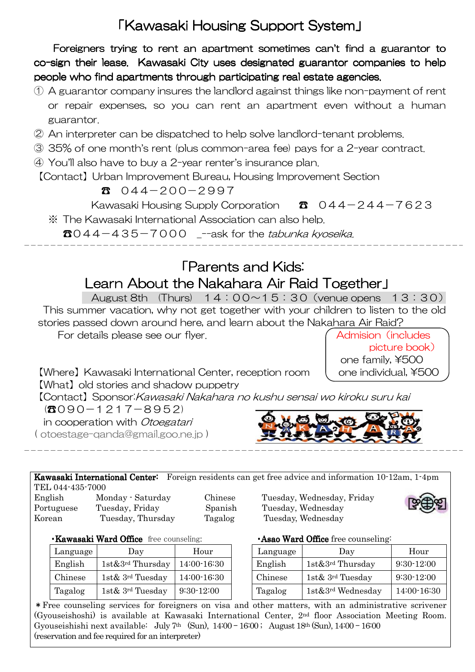# 「Kawasaki Housing Support System I

Foreigners trying to rent an apartment sometimes can't find a guarantor to co-sign their lease. Kawasaki City uses designated guarantor companies to help people who find apartments through participating real estate agencies.

- ① A guarantor company insures the landlord against things like non-payment of rent or repair expenses, so you can rent an apartment even without a human guarantor.
- ② An interpreter can be dispatched to help solve landlord-tenant problems.
- ③ 35% of one month's rent (plus common-area fee) pays for a 2-year contract.
- ④ You'll also have to buy a 2-year renter's insurance plan.

【Contact】Urban Improvement Bureau, Housing Improvement Section

### $300 - 2997$

Kawasaki Housing Supply Corporation  $\bullet$  044-244-7623

※ The Kawasaki International Association can also help.

 $\text{B}044 - 435 - 7000$  --ask for the tabunka kyoseika.

# **FParents and Kids:** Learn About the Nakahara Air Raid Together I

Ī

August 8th  $(Thus) 14:00~15:30$  (venue opens  $13:30$ ) This summer vacation, why not get together with your children to listen to the old stories passed down around here, and learn about the Nakahara Air Raid?

For details please see our flyer. Admision (includes) for details please see our flyer.

 picture book) one family, ¥500

 $[Where]$  Kawasaki International Center, reception room  $\Box$  one individual, ¥500 【What】old stories and shadow puppetry

【Contact】Sponsor:Kawasaki Nakahara no kushu sensai wo kiroku suru kai

 $(8090-1217-8952)$ 

in cooperation with Otoegatari

( [otoestage-qanda@gmail.goo.ne.jp \)](mailto:otoestage-qanda@gmail.goo.ne.jp)



Kawasaki International Center: Foreign residents can get free advice and information 10-12am, 1-4pm TEL 044-435-7000

Portuguese Tuesday, Friday Spanish Tuesday, Wednesday Korean Tuesday, Thursday Tagalog Tuesday, Wednesday

 $\overline{a}$ 

English Monday - Saturday Chinese Tuesday, Wednesday, Friday



・Kawasaki Ward Office free counseling: ・Asao Ward Office Ward Officefree counseling:

| Language | Day                                | Hour         |
|----------|------------------------------------|--------------|
| English  | $1$ st $&3$ <sup>rd</sup> Thursday | 14:00-16:30  |
| Chinese  | 1st & $3rd$ Tuesday                | 14:00-16:30  |
| Tagalog  | 1st& 3rd Tuesday                   | $9:30-12:00$ |

| Language | Day                           | Hour         | Language | Day                                | Hour         |
|----------|-------------------------------|--------------|----------|------------------------------------|--------------|
| English  | $1st\&3^{rd}$ Thursday        | 14:00-16:30  | English  | $1$ st $&3$ <sup>rd</sup> Thursday | $9:30-12:00$ |
| Chinese  | 1st & $3^{\text{rd}}$ Tuesday | 14:00-16:30  | Chinese  | 1st $\&$ 3 <sup>rd</sup> Tuesday   | $9:30-12:00$ |
| Tagalog  | 1st & $3^{\text{rd}}$ Tuesday | $9:30-12:00$ | Tagalog  | $1st\&3^{rd}$ Wednesday            | 14:00-16:30  |

\*Free counseling services for foreigners on visa and other matters, with an administrative scrivener (Gyouseishoshi) is available at Kawasaki International Center, 2nd floor Association Meeting Room. Gyouseishishi next available: July 7<sup>th</sup> (Sun),  $14:00 - 16:00$ ; August  $18<sup>th</sup>$  (Sun),  $14:00 - 16:00$ (reservation and fee required for an interpreter)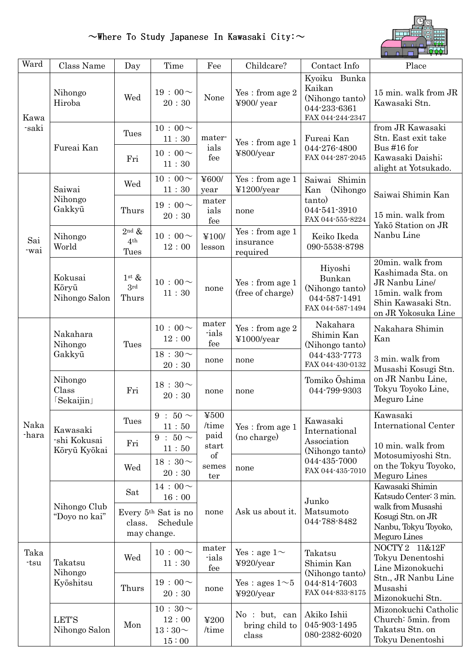# $\sim$ Where To Study Japanese In Kawasaki City: $\sim$



| Ward          | Class Name                               | Day                                          | Time                                           | Fee                                                        | Childcare?                                                             | Contact Info                                                                                    | Place                                                                                                                    |  |
|---------------|------------------------------------------|----------------------------------------------|------------------------------------------------|------------------------------------------------------------|------------------------------------------------------------------------|-------------------------------------------------------------------------------------------------|--------------------------------------------------------------------------------------------------------------------------|--|
| Kawa<br>-saki | Nihongo<br>Hiroba                        | Wed                                          | 19:00 $\sim$<br>20:30                          | None                                                       | Yes: from age 2<br>¥900/ year                                          | Kyoiku Bunka<br>Kaikan<br>(Nihongo tanto)<br>044-233-6361<br>FAX 044-244-2347                   | 15 min. walk from JR<br>Kawasaki Stn.                                                                                    |  |
|               | Fureai Kan                               | Tues<br>Fri                                  | $10:00 \sim$<br>11:30<br>$10:00 \sim$          | mater-<br>ials<br>fee                                      | Yes: from age 1<br>¥800/year                                           | Fureai Kan<br>044-276-4800<br>FAX 044-287-2045                                                  | from JR Kawasaki<br>Stn. East exit take<br>Bus #16 for<br>Kawasaki Daishi;                                               |  |
|               |                                          |                                              | 11:30                                          |                                                            |                                                                        |                                                                                                 | alight at Yotsukado.                                                                                                     |  |
|               | Saiwai<br>Nihongo<br>Gakkyū              | Wed                                          | $10:00\!\sim$<br>11:30                         | ¥600/<br>year                                              | Yes: from age 1<br>¥1200/year                                          | Saiwai Shimin<br>Kan<br>(Nihongo)                                                               | Saiwai Shimin Kan                                                                                                        |  |
|               |                                          | Thurs                                        | $19:00 \sim$<br>20:30                          | mater<br>ials<br>fee                                       | none                                                                   | tanto)<br>044-541-3910<br>FAX 044-555-8224                                                      | 15 min. walk from<br>Yakō Station on JR                                                                                  |  |
| Sai<br>-wai   | Nihongo<br>World                         | $2^{\text{nd}}$ &<br>4 <sup>th</sup><br>Tues | $10:00 \sim$<br>12:00                          | ¥100/<br>lesson                                            | Yes: from age 1<br>insurance<br>required                               | Keiko Ikeda<br>090-5538-8798                                                                    | Nanbu Line                                                                                                               |  |
|               | Kokusai<br>Kōryū<br>Nihongo Salon        | $1^{\rm st} \&$<br>3rd<br>Thurs              | $10:00 \sim$<br>11:30                          | none                                                       | Yes: from age 1<br>(free of charge)                                    | Hiyoshi<br>Bunkan<br>(Nihongo tanto)<br>044-587-1491<br>FAX 044-587-1494                        | 20min. walk from<br>Kashimada Sta. on<br>JR Nanbu Line/<br>15min. walk from<br>Shin Kawasaki Stn.<br>on JR Yokosuka Line |  |
|               | Nakahara<br>Nihongo<br>Gakkyū            | Tues                                         | $10:00 \sim$<br>12:00                          | mater<br>-ials<br>fee<br>none                              | $\operatorname{Yes}$ : from age $2$<br>¥1000/year                      | Nakahara<br>Shimin Kan<br>(Nihongo tanto)<br>044-433-7773<br>FAX 044-430-0132                   | Nakahara Shimin<br>Kan                                                                                                   |  |
|               |                                          |                                              | $18:30\sim$<br>20:30                           |                                                            | none                                                                   |                                                                                                 | 3 min. walk from<br>Musashi Kosugi Stn.                                                                                  |  |
|               | Nihongo<br>Class<br>[Sekaijin]           | Fri                                          | $18:30\sim$<br>20:30                           | none                                                       | none                                                                   | Tomiko Oshima<br>044-799-9303                                                                   | on JR Nanbu Line,<br>Tokyu Toyoko Line,<br>Meguro Line                                                                   |  |
| Naka          | Kawasaki<br>-shi Kokusai<br>Kōryū Kyōkai | Tues                                         | $9:50 \sim$<br>11:50                           | $\yen 500$<br>/time<br>paid<br>start<br>of<br>semes<br>ter | Yes: from age 1<br>(no charge)                                         | Kawasaki<br>International<br>Association<br>(Nihongo tanto)<br>044-435-7000<br>FAX 044-435-7010 | Kawasaki<br><b>International Center</b>                                                                                  |  |
| -hara         |                                          | Fri                                          | $9:50\sim$<br>11:50                            |                                                            |                                                                        |                                                                                                 | 10 min. walk from<br>Motosumiyoshi Stn.<br>on the Tokyu Toyoko,<br>Meguro Lines                                          |  |
|               |                                          | Wed                                          | $18:30\sim$<br>20:30                           |                                                            | none                                                                   |                                                                                                 |                                                                                                                          |  |
|               | Nihongo Club<br>"Doyo no kai"            | Sat                                          | $14:00 \sim$<br>16:00                          |                                                            | Ask us about it.                                                       | Junko<br>Matsumoto<br>044-788-8482                                                              | Kawasaki Shimin<br>Katsudo Center: 3 min.                                                                                |  |
|               |                                          | class.                                       | Every 5th Sat is no<br>Schedule<br>may change. | none                                                       |                                                                        |                                                                                                 | walk from Musashi<br>Kosugi Stn. on JR<br>Nanbu, Tokyu Toyoko,<br>Meguro Lines                                           |  |
| Taka<br>-tsu  | Takatsu<br>Nihongo<br>Kyōshitsu          | Wed                                          | $10:00\!\sim$<br>$11\div 30$                   | mater<br>ials<br>fee                                       | Yes : age $1\sim$<br>$4920$ /year                                      | Takatsu<br>Shimin Kan<br>(Nihongo tanto)                                                        | NOCTY 2 11&12F<br>Tokyu Denentoshi<br>Line Mizonokuchi                                                                   |  |
|               |                                          | Thurs                                        | $19:00 \sim$<br>20:30                          | none                                                       | Yes : ages $1 \sim 5$<br>044-814-7603<br>¥920/year<br>FAX 044-833-8175 |                                                                                                 | Stn., JR Nanbu Line<br>Musashi<br>Mizonokuchi Stn.                                                                       |  |
|               | <b>LET'S</b><br>Nihongo Salon            | Mon                                          | $10:30 \sim$<br>12:00<br>$13:30 -$<br>15:00    | ¥200<br>/time                                              | No : but, can<br>bring child to<br>class                               | Akiko Ishii<br>045-903-1495<br>080-2382-6020                                                    | Mizonokuchi Catholic<br>Church: 5min. from<br>Takatsu Stn. on<br>Tokyu Denentoshi                                        |  |